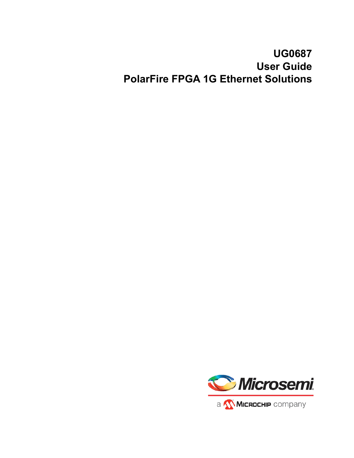# **UG0687 User Guide PolarFire FPGA 1G Ethernet Solutions**

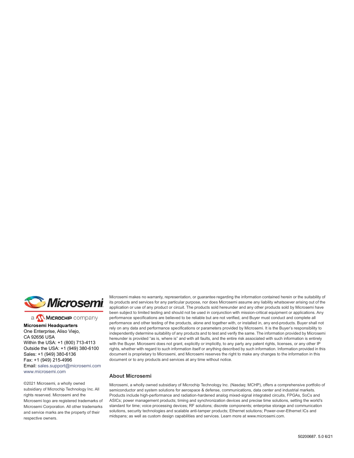

a **WIMICROCHIP** company

**Microsemi Headquarters** One Enterprise, Aliso Viejo, CA 92656 USA Within the USA: +1 (800) 713-4113 Outside the USA: +1 (949) 380-6100 Sales: +1 (949) 380-6136 Fax: +1 (949) 215-4996 Email: [sales.support@microsemi.com](mailto:sales.support@microsemi.com) [www.microsemi.com](http://www.microsemi.com)

©2021 Microsemi, a wholly owned subsidiary of Microchip Technology Inc. All rights reserved. Microsemi and the Microsemi logo are registered trademarks of Microsemi Corporation. All other trademarks and service marks are the property of their respective owners.

Microsemi makes no warranty, representation, or guarantee regarding the information contained herein or the suitability of its products and services for any particular purpose, nor does Microsemi assume any liability whatsoever arising out of the application or use of any product or circuit. The products sold hereunder and any other products sold by Microsemi have been subject to limited testing and should not be used in conjunction with mission-critical equipment or applications. Any performance specifications are believed to be reliable but are not verified, and Buyer must conduct and complete all performance and other testing of the products, alone and together with, or installed in, any end-products. Buyer shall not rely on any data and performance specifications or parameters provided by Microsemi. It is the Buyer's responsibility to independently determine suitability of any products and to test and verify the same. The information provided by Microsemi hereunder is provided "as is, where is" and with all faults, and the entire risk associated with such information is entirely with the Buyer. Microsemi does not grant, explicitly or implicitly, to any party any patent rights, licenses, or any other IP rights, whether with regard to such information itself or anything described by such information. Information provided in this document is proprietary to Microsemi, and Microsemi reserves the right to make any changes to the information in this document or to any products and services at any time without notice.

#### **About Microsemi**

Microsemi, a wholly owned subsidiary of Microchip Technology Inc. (Nasdaq: MCHP), offers a comprehensive portfolio of semiconductor and system solutions for aerospace & defense, communications, data center and industrial markets. Products include high-performance and radiation-hardened analog mixed-signal integrated circuits, FPGAs, SoCs and ASICs; power management products; timing and synchronization devices and precise time solutions, setting the world's standard for time; voice processing devices; RF solutions; discrete components; enterprise storage and communication solutions, security technologies and scalable anti-tamper products; Ethernet solutions; Power-over-Ethernet ICs and midspans; as well as custom design capabilities and services. Learn more at www.microsemi.com.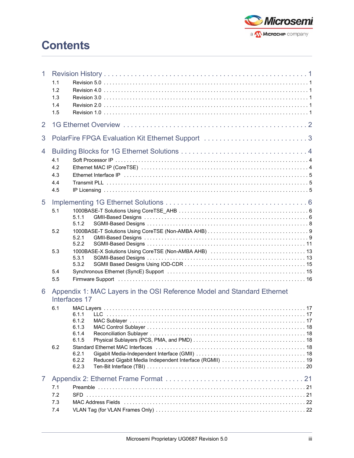

# **Contents**

| 1 | 1.1<br>1.2<br>1.3<br>1.4<br>1.5 |                                                                                                                                                                                                                                                                                                                                                                                |  |  |  |  |  |  |  |
|---|---------------------------------|--------------------------------------------------------------------------------------------------------------------------------------------------------------------------------------------------------------------------------------------------------------------------------------------------------------------------------------------------------------------------------|--|--|--|--|--|--|--|
| 2 |                                 |                                                                                                                                                                                                                                                                                                                                                                                |  |  |  |  |  |  |  |
| 3 |                                 | PolarFire FPGA Evaluation Kit Ethernet Support 3                                                                                                                                                                                                                                                                                                                               |  |  |  |  |  |  |  |
| 4 | 4.1<br>4.2<br>4.3<br>4.4<br>4.5 | Ethernet Interface IP (and according to the control of the control of the control of the control of the control of the control of the control of the control of the control of the control of the control of the control of th                                                                                                                                                 |  |  |  |  |  |  |  |
| 5 | 5.1<br>5.2                      | 5.1.1<br>5.1.2<br>5.2.1                                                                                                                                                                                                                                                                                                                                                        |  |  |  |  |  |  |  |
|   | 5.3<br>5.4<br>5.5               | 5.2.2<br>5.3.1<br>5.3.2<br>Synchronous Ethernet (SyncE) Support (and the content of the content of the synchronous Ethernet (SyncE) Support (and the content of the content of the synchronous Ethernet (SyncE)                                                                                                                                                                |  |  |  |  |  |  |  |
| 6 | 6.1<br>6.2                      | Appendix 1: MAC Layers in the OSI Reference Model and Standard Ethernet<br>Interfaces 17<br>6.1.1<br>TTC.<br>6.1.2<br>6.1.3<br>6.1.4<br>6.1.5<br>Standard Ethernet MAC Interfaces (and according contract of the standard Ethernet MAC Interfaces (and according to the state of the state of the Standard Ethernet MAC Interfaces (and according to the state of the Standard |  |  |  |  |  |  |  |
|   |                                 | 6.2.1<br>6.2.2<br>6.2.3                                                                                                                                                                                                                                                                                                                                                        |  |  |  |  |  |  |  |
| 7 | 7.1<br>7.2<br>7.3<br>7.4        |                                                                                                                                                                                                                                                                                                                                                                                |  |  |  |  |  |  |  |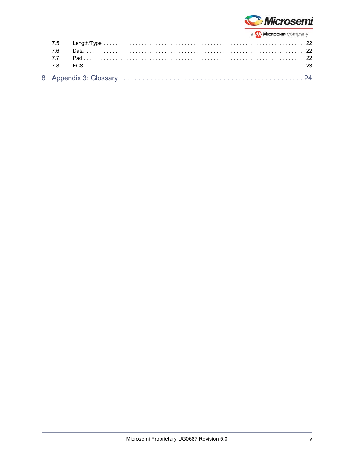

| 7.6 |  |
|-----|--|
|     |  |
|     |  |
|     |  |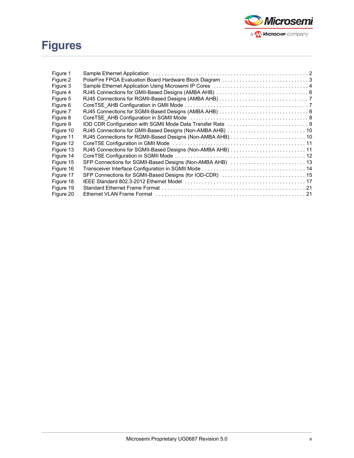# **Figures**



| Figure 1  | Sample Ethernet Application (and all and all and all and all and all and all and all and all and all and all a |  |
|-----------|----------------------------------------------------------------------------------------------------------------|--|
| Figure 2  |                                                                                                                |  |
| Figure 3  |                                                                                                                |  |
| Figure 4  |                                                                                                                |  |
| Figure 5  |                                                                                                                |  |
| Figure 6  |                                                                                                                |  |
| Figure 7  |                                                                                                                |  |
| Figure 8  |                                                                                                                |  |
| Figure 9  |                                                                                                                |  |
| Figure 10 |                                                                                                                |  |
| Figure 11 |                                                                                                                |  |
| Figure 12 |                                                                                                                |  |
| Figure 13 | RJ45 Connections for SGMII-Based Designs (Non-AMBA AHB) 11                                                     |  |
| Figure 14 |                                                                                                                |  |
| Figure 15 |                                                                                                                |  |
| Figure 16 |                                                                                                                |  |
| Figure 17 | SFP Connections for SGMII-Based Designs (for IOD-CDR)  15                                                      |  |
| Figure 18 |                                                                                                                |  |
| Figure 19 |                                                                                                                |  |
| Figure 20 |                                                                                                                |  |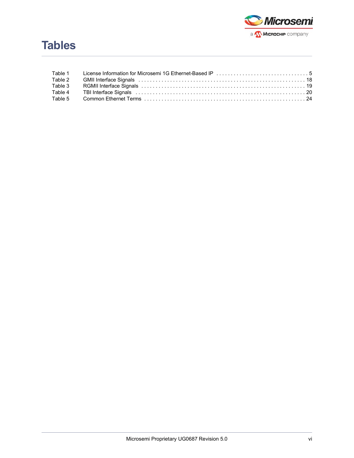

| Table 1 |  |
|---------|--|
| Table 2 |  |
| Table 3 |  |
| Table 4 |  |
|         |  |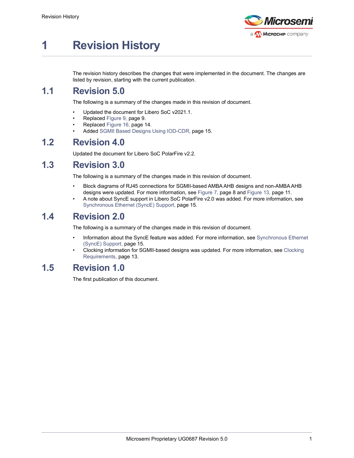

# <span id="page-6-0"></span>**1 Revision History**

The revision history describes the changes that were implemented in the document. The changes are listed by revision, starting with the current publication.

## <span id="page-6-1"></span>**1.1 Revision 5.0**

The following is a summary of the changes made in this revision of document.

- Updated the document for Libero SoC v2021.1.
- Replaced Figure [9, page](#page-14-3) 9.
- Replaced Figure [16, page](#page-19-1) 14.
- Added [SGMII Based Designs Using IOD-CDR, page](#page-20-4) 15.

## <span id="page-6-2"></span>**1.2 Revision 4.0**

Updated the document for Libero SoC PolarFire v2.2.

## <span id="page-6-3"></span>**1.3 Revision 3.0**

The following is a summary of the changes made in this revision of document.

- Block diagrams of RJ45 connections for SGMII-based AMBA AHB designs and non-AMBA AHB designs were updated. For more information, see Figure [7, page](#page-13-3) 8 and Figure [13, page](#page-16-3) 11.
- A note about SyncE support in Libero SoC PolarFire v2.0 was added. For more information, see [Synchronous Ethernet \(SyncE\) Support, page](#page-20-3) 15.

## <span id="page-6-4"></span>**1.4 Revision 2.0**

The following is a summary of the changes made in this revision of document.

- Information about the SyncE feature was added. For more information, see [Synchronous Ethernet](#page-20-3)  [\(SyncE\) Support, page](#page-20-3) 15.
- Clocking information for SGMII-based designs was updated. For more information, see [Clocking](#page-18-3)  [Requirements, page](#page-18-3) 13.

## <span id="page-6-5"></span>**1.5 Revision 1.0**

The first publication of this document.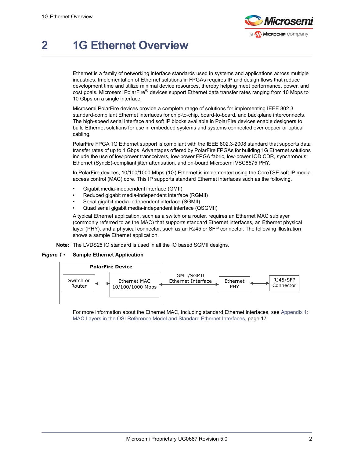

# <span id="page-7-0"></span>**2 1G Ethernet Overview**

Ethernet is a family of networking interface standards used in systems and applications across multiple industries. Implementation of Ethernet solutions in FPGAs requires IP and design flows that reduce development time and utilize minimal device resources, thereby helping meet performance, power, and cost goals. Microsemi PolarFire® devices support Ethernet data transfer rates ranging from 10 Mbps to 10 Gbps on a single interface.

Microsemi PolarFire devices provide a complete range of solutions for implementing IEEE 802.3 standard-compliant Ethernet interfaces for chip-to-chip, board-to-board, and backplane interconnects. The high-speed serial interface and soft IP blocks available in PolarFire devices enable designers to build Ethernet solutions for use in embedded systems and systems connected over copper or optical cabling.

PolarFire FPGA 1G Ethernet support is compliant with the IEEE 802.3-2008 standard that supports data transfer rates of up to 1 Gbps. Advantages offered by PolarFire FPGAs for building 1G Ethernet solutions include the use of low-power transceivers, low-power FPGA fabric, low-power IOD CDR, synchronous Ethernet (SyncE)-compliant jitter attenuation, and on-board Microsemi VSC8575 PHY.

In PolarFire devices, 10/100/1000 Mbps (1G) Ethernet is implemented using the CoreTSE soft IP media access control (MAC) core. This IP supports standard Ethernet interfaces such as the following.

- Gigabit media-independent interface (GMII)
- Reduced gigabit media-independent interface (RGMII)
- Serial gigabit media-independent interface (SGMII)
- Quad serial gigabit media-independent interface (QSGMII)

A typical Ethernet application, such as a switch or a router, requires an Ethernet MAC sublayer (commonly referred to as the MAC) that supports standard Ethernet interfaces, an Ethernet physical layer (PHY), and a physical connector, such as an RJ45 or SFP connector. The following illustration shows a sample Ethernet application.

**Note:** The LVDS25 IO standard is used in all the IO based SGMII designs.

#### <span id="page-7-1"></span>*Figure 1 •* **Sample Ethernet Application**



For more information about the Ethernet MAC, including standard Ethernet interfaces, see [Appendix 1:](#page-22-5)  [MAC Layers in the OSI Reference Model and Standard Ethernet Interfaces, page](#page-22-5) 17.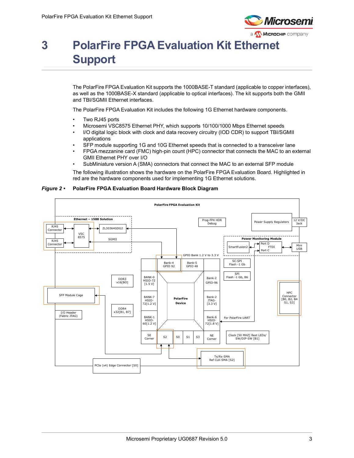

# <span id="page-8-0"></span>**3 PolarFire FPGA Evaluation Kit Ethernet Support**

The PolarFire FPGA Evaluation Kit supports the 1000BASE-T standard (applicable to copper interfaces), as well as the 1000BASE-X standard (applicable to optical interfaces). The kit supports both the GMII and TBI/SGMII Ethernet interfaces.

The PolarFire FPGA Evaluation Kit includes the following 1G Ethernet hardware components.

- Two RJ45 ports
- Microsemi VSC8575 Ethernet PHY, which supports 10/100/1000 Mbps Ethernet speeds
- I/O digital logic block with clock and data recovery circuitry (IOD CDR) to support TBI/SGMII applications
- SFP module supporting 1G and 10G Ethernet speeds that is connected to a transceiver lane
- FPGA mezzanine card (FMC) high-pin count (HPC) connector that connects the MAC to an external GMII Ethernet PHY over I/O
- SubMiniature version A (SMA) connectors that connect the MAC to an external SFP module

The following illustration shows the hardware on the PolarFire FPGA Evaluation Board. Highlighted in red are the hardware components used for implementing 1G Ethernet solutions.

<span id="page-8-1"></span>

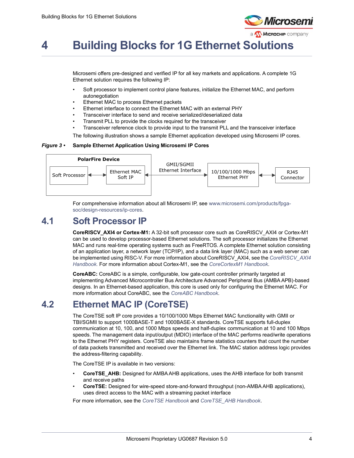

# <span id="page-9-0"></span>**4 Building Blocks for 1G Ethernet Solutions**

Microsemi offers pre-designed and verified IP for all key markets and applications. A complete 1G Ethernet solution requires the following IP:

- Soft processor to implement control plane features, initialize the Ethernet MAC, and perform autonegotiation
- Ethernet MAC to process Ethernet packets
- Ethernet interface to connect the Ethernet MAC with an external PHY
- Transceiver interface to send and receive serialized/deserialized data
- Transmit PLL to provide the clocks required for the transceiver
- Transceiver reference clock to provide input to the transmit PLL and the transceiver interface

The following illustration shows a sample Ethernet application developed using Microsemi IP cores.

#### <span id="page-9-3"></span>*Figure 3 •* **Sample Ethernet Application Using Microsemi IP Cores**



For comprehensive information about all Microsemi IP, see [www.microsemi.com/products/fpga](http://www.microsemi.com/index.php?option=com_content&view=article&id=2044&catid=1643&Itemid=2810)[soc/design-resources/ip-cores.](http://www.microsemi.com/index.php?option=com_content&view=article&id=2044&catid=1643&Itemid=2810)

## <span id="page-9-1"></span>**4.1 Soft Processor IP**

**CoreRISCV\_AXI4 or Cortex-M1:** A 32-bit soft processor core such as CoreRISCV\_AXI4 or Cortex-M1 can be used to develop processor-based Ethernet solutions. The soft processor initializes the Ethernet MAC and runs real-time operating systems such as FreeRTOS. A complete Ethernet solution consisting of an application layer, a network layer (TCP/IP), and a data link layer (MAC) such as a web server can be implemented using RISC-V. For more information about CoreRISCV\_AXI4, see the *[CoreRISCV\\_AXI4](http://soc.microsemi.com/ipdocs/CoreRISCV_AXI4_HB.pdf)  [Handbook.](http://soc.microsemi.com/ipdocs/CoreRISCV_AXI4_HB.pdf)* For more information about Cortex-M1, see the *[CoreCortexM1 Handbook](http://soc.microsemi.com/ipdocs/CoreCortexM1_HB.pdf)*.

**CoreABC:** CoreABC is a simple, configurable, low gate-count controller primarily targeted at implementing Advanced Microcontroller Bus Architecture Advanced Peripheral Bus (AMBA APB)-based designs. In an Ethernet-based application, this core is used only for configuring the Ethernet MAC. For more information about CoreABC, see the *[CoreABC Handbook](http://soc.microsemi.com/ipdocs/CoreABC_HB.pdf)*.

## <span id="page-9-2"></span>**4.2 Ethernet MAC IP (CoreTSE)**

The CoreTSE soft IP core provides a 10/100/1000 Mbps Ethernet MAC functionality with GMII or TBI/SGMII to support 1000BASE-T and 1000BASE-X standards. CoreTSE supports full-duplex communication at 10, 100, and 1000 Mbps speeds and half-duplex communication at 10 and 100 Mbps speeds. The management data input/output (MDIO) interface of the MAC performs read/write operations to the Ethernet PHY registers. CoreTSE also maintains frame statistics counters that count the number of data packets transmitted and received over the Ethernet link. The MAC station address logic provides the address-filtering capability.

The CoreTSE IP is available in two versions:

- **CoreTSE\_AHB:** Designed for AMBA AHB applications, uses the AHB interface for both transmit and receive paths
- **CoreTSE:** Designed for wire-speed store-and-forward throughput (non-AMBA AHB applications), uses direct access to the MAC with a streaming packet interface

For more information, see the *[CoreTSE Handbook](http://soc.microsemi.com/ipdocs/CoreTSE_HB.pdf)* and *[CoreTSE\\_AHB Handbook](http://soc.microsemi.com/ipdocs/CoreTSE_AHB_HB.pdf)*.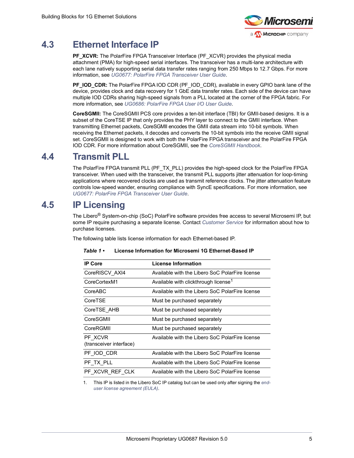

## <span id="page-10-0"></span>**4.3 Ethernet Interface IP**

**PF\_XCVR:** The PolarFire FPGA Transceiver Interface (PF\_XCVR) provides the physical media attachment (PMA) for high-speed serial interfaces. The transceiver has a multi-lane architecture with each lane natively supporting serial data transfer rates ranging from 250 Mbps to 12.7 Gbps. For more information, see *[UG0677: PolarFire FPGA Transceiver User Guide](http://www.microsemi.com/index.php?option=com_docman&task=doc_download&gid=136531)*.

**PF\_IOD\_CDR:** The PolarFire FPGA IOD CDR (PF\_IOD\_CDR), available in every GPIO bank lane of the device, provides clock and data recovery for 1 GbE data transfer rates. Each side of the device can have multiple IOD CDRs sharing high-speed signals from a PLL located at the corner of the FPGA fabric. For more information, see *[UG0686: PolarFire FPGA User I/O User Guide](http://www.microsemi.com/index.php?option=com_docman&task=doc_download&gid=136535)*.

**CoreSGMII:** The CoreSGMII PCS core provides a ten-bit interface (TBI) for GMII-based designs. It is a subset of the CoreTSE IP that only provides the PHY layer to connect to the GMII interface. When transmitting Ethernet packets, CoreSGMII encodes the GMII data stream into 10-bit symbols. When receiving the Ethernet packets, it decodes and converts the 10-bit symbols into the receive GMII signal set. CoreSGMII is designed to work with both the PolarFire FPGA transceiver and the PolarFire FPGA IOD CDR. For more information about CoreSGMII, see the *[CoreSGMII Handbook](http://soc.microsemi.com/ipdocs/CoreSGMII_HB.pdf)*.

## <span id="page-10-1"></span>**4.4 Transmit PLL**

The PolarFire FPGA transmit PLL (PF\_TX\_PLL) provides the high-speed clock for the PolarFire FPGA transceiver. When used with the transceiver, the transmit PLL supports jitter attenuation for loop-timing applications where recovered clocks are used as transmit reference clocks. The jitter attenuation feature controls low-speed wander, ensuring compliance with SyncE specifications. For more information, see *[UG0677: PolarFire FPGA Transceiver User Guide](http://www.microsemi.com/index.php?option=com_docman&task=doc_download&gid=136531)*.

## <span id="page-10-2"></span>**4.5 IP Licensing**

The Libero® System-on-chip (SoC) PolarFire software provides free access to several Microsemi IP, but some IP require purchasing a separate license. Contact *[Customer Service](http://www.microsemi.com/index.php?option=com_content&view=article&id=3497&catid=84&Itemid=610)* for information about how to purchase licenses.

The following table lists license information for each Ethernet-based IP.

| <b>IP Core</b>                     | <b>License Information</b>                       |
|------------------------------------|--------------------------------------------------|
| CoreRISCV AXI4                     | Available with the Libero SoC PolarFire license  |
| CoreCortexM1                       | Available with clickthrough license <sup>1</sup> |
| CoreABC                            | Available with the Libero SoC PolarFire license  |
| CoreTSF                            | Must be purchased separately                     |
| CoreTSE AHB                        | Must be purchased separately                     |
| CoreSGMII                          | Must be purchased separately                     |
| CoreRGMII                          | Must be purchased separately                     |
| PF XCVR<br>(transceiver interface) | Available with the Libero SoC PolarFire license  |
| PF IOD_CDR                         | Available with the Libero SoC PolarFire license  |
| PF TX PLL                          | Available with the Libero SoC PolarFire license  |
| PF XCVR REF CLK                    | Available with the Libero SoC PolarFire license  |
|                                    |                                                  |

#### <span id="page-10-3"></span>*Table 1 •* **License Information for Microsemi 1G Ethernet-Based IP**

1. This IP is listed in the Libero SoC IP catalog but can be used only after signing the *[end](https://www.microsemi.com/form/91-coreip-cortex-m1)[user license agreement \(EULA\)](https://www.microsemi.com/form/91-coreip-cortex-m1)*.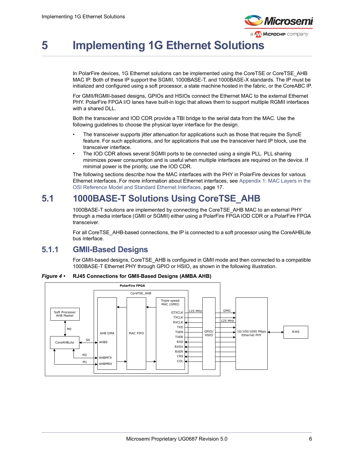

# <span id="page-11-0"></span>**5 Implementing 1G Ethernet Solutions**

In PolarFire devices, 1G Ethernet solutions can be implemented using the CoreTSE or CoreTSE\_AHB MAC IP. Both of these IP support the SGMII, 1000BASE-T, and 1000BASE-X standards. The IP must be initialized and configured using a soft processor, a state machine hosted in the fabric, or the CoreABC IP.

For GMII/RGMII-based designs, GPIOs and HSIOs connect the Ethernet MAC to the external Ethernet PHY. PolarFire FPGA I/O lanes have built-in logic that allows them to support multiple RGMII interfaces with a shared DLL.

Both the transceiver and IOD CDR provide a TBI bridge to the serial data from the MAC. Use the following guidelines to choose the physical layer interface for the design.

- The transceiver supports jitter attenuation for applications such as those that require the SyncE feature. For such applications, and for applications that use the transceiver hard IP block, use the transceiver interface.
- The IOD CDR allows several SGMII ports to be connected using a single PLL. PLL sharing minimizes power consumption and is useful when multiple interfaces are required on the device. If minimal power is the priority, use the IOD CDR.

The following sections describe how the MAC interfaces with the PHY in PolarFire devices for various Ethernet interfaces. For more information about Ethernet interfaces, see [Appendix 1: MAC Layers in the](#page-22-5)  [OSI Reference Model and Standard Ethernet Interfaces, page](#page-22-5) 17.

## <span id="page-11-1"></span>**5.1 1000BASE-T Solutions Using CoreTSE\_AHB**

1000BASE-T solutions are implemented by connecting the CoreTSE\_AHB MAC to an external PHY through a media interface (GMII or SGMII) either using a PolarFire FPGA IOD CDR or a PolarFire FPGA transceiver.

For all CoreTSE\_AHB-based connections, the IP is connected to a soft processor using the CoreAHBLite bus interface.

### <span id="page-11-2"></span>**5.1.1 GMII-Based Designs**

For GMII-based designs, CoreTSE\_AHB is configured in GMII mode and then connected to a compatible 1000BASE-T Ethernet PHY through GPIO or HSIO, as shown in the following illustration.

<span id="page-11-3"></span>*Figure 4 •* **RJ45 Connections for GMII-Based Designs (AMBA AHB)**

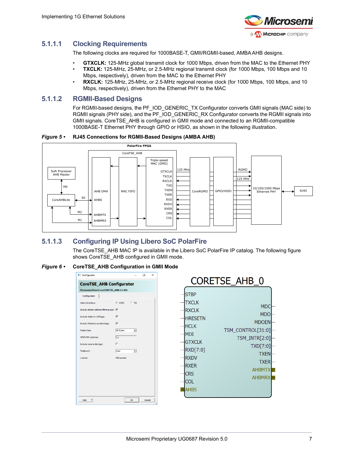

### **5.1.1.1 Clocking Requirements**

The following clocks are required for 1000BASE-T, GMII/RGMII-based, AMBA AHB designs.

- **GTXCLK:** 125-MHz global transmit clock for 1000 Mbps, driven from the MAC to the Ethernet PHY
- **TXCLK:** 125-MHz, 25-MHz, or 2.5-MHz regional transmit clock (for 1000 Mbps, 100 Mbps and 10 Mbps, respectively), driven from the MAC to the Ethernet PHY
- **RXCLK:** 125-MHz, 25-MHz, or 2.5-MHz regional receive clock (for 1000 Mbps, 100 Mbps, and 10 Mbps, respectively), driven from the Ethernet PHY to the MAC

#### **5.1.1.2 RGMII-Based Designs**

For RGMII-based designs, the PF\_IOD\_GENERIC\_TX Configurator converts GMII signals (MAC side) to RGMII signals (PHY side), and the PF\_IOD\_GENERIC\_RX Configurator converts the RGMII signals into GMII signals. CoreTSE\_AHB is configured in GMII mode and connected to an RGMII-compatible 1000BASE-T Ethernet PHY through GPIO or HSIO, as shown in the following illustration.

<span id="page-12-0"></span>*Figure 5 •* **RJ45 Connections for RGMII-Based Designs (AMBA AHB)**



### **5.1.1.3 Configuring IP Using Libero SoC PolarFire**

The CoreTSE AHB MAC IP is available in the Libero SoC PolarFire IP catalog. The following figure shows CoreTSE\_AHB configured in GMII mode.

#### <span id="page-12-1"></span>*Figure 6 •* **CoreTSE\_AHB Configuration in GMII Mode**

| MDIO PHY Address:<br>18<br><b>GTXCLK</b><br>г<br>Include receive slip logic:<br>TXD[7:0]<br>RXD[7:0]<br>Testbench:<br>User<br>$\vert$<br><b>TXEN</b><br><b>RXDV</b><br>Obfuscated<br>License:<br><b>TXER</b><br><b>RXER</b><br><b>AHBMTX</b><br><b>CRS</b><br><b>AHBMRX</b><br><b>COL</b><br><b>AHBS</b><br>OK<br>Help<br>Cancel<br>$\check{}$ | Configurator<br>$\times$<br>П<br><b>CoreTSE_AHB Configurator</b><br>Microsemi:DirectCore:CORETSE AHB:3.1.102<br>Configuration<br>G G/MII<br>$C$ TBI<br>Select Interface:<br>Include station address filtering logic: V<br>⊽<br>Include Wake on LAN logic:<br>М<br>Include Statistics counters logic:<br><b>8K Bytes</b><br>Packet Size:<br>$\overline{\phantom{a}}$ | <b>CORETSE AHB 0</b><br><b>STBP</b><br><b>TXCLK</b><br><b>MDC</b><br><b>RXCLK</b><br><b>MDO</b><br><b>HRESETN</b><br><b>MDOEN</b><br><b>HCLK</b><br>TSM_CONTROL[31:0]<br><b>MDI</b> |
|------------------------------------------------------------------------------------------------------------------------------------------------------------------------------------------------------------------------------------------------------------------------------------------------------------------------------------------------|---------------------------------------------------------------------------------------------------------------------------------------------------------------------------------------------------------------------------------------------------------------------------------------------------------------------------------------------------------------------|-------------------------------------------------------------------------------------------------------------------------------------------------------------------------------------|
|                                                                                                                                                                                                                                                                                                                                                |                                                                                                                                                                                                                                                                                                                                                                     | TSM_INTR[2:0]                                                                                                                                                                       |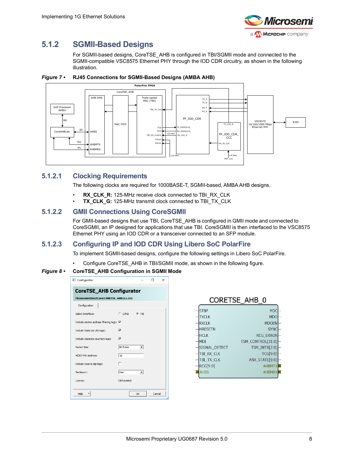

## <span id="page-13-0"></span>**5.1.2 SGMII-Based Designs**

<span id="page-13-3"></span>For SGMII-based designs, CoreTSE\_AHB is configured in TBI/SGMII mode and connected to the SGMII-compatible VSC8575 Ethernet PHY through the IOD CDR circuitry, as shown in the following illustration.



#### <span id="page-13-1"></span>*Figure 7 •* **RJ45 Connections for SGMII-Based Designs (AMBA AHB)**

#### **5.1.2.1 Clocking Requirements**

The following clocks are required for 1000BASE-T, SGMII-based, AMBA AHB designs.

- **RX\_CLK\_R:** 125-MHz receive clock connected to TBI\_RX\_CLK
- **TX\_CLK\_G:** 125-MHz transmit clock connected to TBI\_TX\_CLK

#### **5.1.2.2 GMII Connections Using CoreSGMII**

For GMII-based designs that use TBI, CoreTSE\_AHB is configured in GMII mode and connected to CoreSGMII, an IP designed for applications that use TBI. CoreSGMII is then interfaced to the VSC8575 Ethernet PHY using an IOD CDR or a transceiver connected to an SFP module.

#### **5.1.2.3 Configuring IP and IOD CDR Using Libero SoC PolarFire**

To implement SGMII-based designs, configure the following settings in Libero SoC PolarFire.

• Configure CoreTSE\_AHB in TBI/SGMII mode, as shown in the following figure.

#### <span id="page-13-2"></span>*Figure 8 •* **CoreTSE\_AHB Configuration in SGMII Mode**

| Configurator                               |                 |         |        | × |
|--------------------------------------------|-----------------|---------|--------|---|
| <b>CoreTSE AHB Configurator</b>            |                 |         |        |   |
| Microsemi:DirectCore:CORETSE_AHB:3.1.102   |                 |         |        |   |
| Configuration                              |                 |         |        |   |
| Select Interface:                          | $\subset$ G/MII | $G$ TRI |        |   |
| Include station address filtering logic: V |                 |         |        |   |
| Include Wake on LAN logic:                 | ⊽               |         |        |   |
| Include Statistics counters logic:         | ⊽               |         |        |   |
| Packet Size:                               | <b>8K Bytes</b> |         |        |   |
| MDIO PHY Address:                          | 18              |         |        |   |
| Include receive slip logic:                | n               |         |        |   |
| Testbench:                                 | User            |         |        |   |
| License:                                   | Obfuscated      |         |        |   |
|                                            |                 |         |        |   |
| Help                                       |                 | OK      | Cancel |   |

| LUREIJE AND U  |                    |  |  |  |  |  |  |  |
|----------------|--------------------|--|--|--|--|--|--|--|
| <b>STBP</b>    | <b>MDC</b>         |  |  |  |  |  |  |  |
| <b>TXCLK</b>   | <b>MDO</b>         |  |  |  |  |  |  |  |
| <b>RXCLK</b>   | <b>MDOEN</b>       |  |  |  |  |  |  |  |
| <b>HRESETN</b> | <b>SYNC</b>        |  |  |  |  |  |  |  |
| <b>HCLK</b>    | <b>RCG ERROR</b>   |  |  |  |  |  |  |  |
| <b>MDI</b>     | TSM_CONTROL[31:0]  |  |  |  |  |  |  |  |
| SIGNAL DETECT  | TSM INTR[2:0]      |  |  |  |  |  |  |  |
| TBI RX CLK     | <b>TCG[9:0]</b>    |  |  |  |  |  |  |  |
| TBI TX CLK     | ANX STATE[9:0]     |  |  |  |  |  |  |  |
| RCG[9:0]       | <b>AHBMTX</b><br>F |  |  |  |  |  |  |  |
| <b>AHBS</b>    | R<br><b>AHBMRX</b> |  |  |  |  |  |  |  |
|                |                    |  |  |  |  |  |  |  |

CODETCE AUD O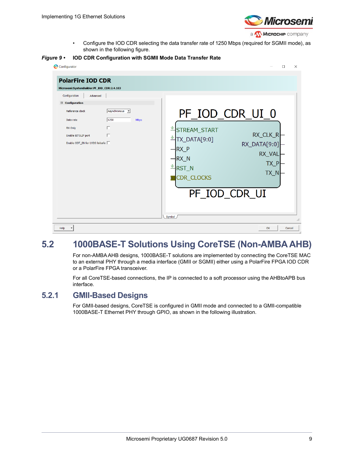

<span id="page-14-3"></span>• Configure the IOD CDR selecting the data transfer rate of 1250 Mbps (required for SGMII mode), as shown in the following figure.

<span id="page-14-2"></span>*Figure 9 •* **IOD CDR Configuration with SGMII Mode Data Transfer Rate**

| Microsemi:SystemBuilder:PF_IOD_CDR:2.4.103<br>Configuration<br>Advanced                                              |                                            |                                                                                                                                                                                                            |
|----------------------------------------------------------------------------------------------------------------------|--------------------------------------------|------------------------------------------------------------------------------------------------------------------------------------------------------------------------------------------------------------|
| □ Configuration<br>Reference clock<br>Data rate<br>RX Only<br>Enable BITSLIP port<br>Enable ODT_EN for LVDS failsafe | Asynchronous v<br>1250<br><b>Mbps</b><br>П | PF_IOD_CDR_UI_0<br>STREAM_START<br>RX_CLK_R<br>TX_DATA[9:0]<br>RX_DATA[9:0]<br>-IRX P<br>RX_VAL<br>$\n  RX\n  N\n$<br>$TX_P$<br><del>∐</del> RST_N<br>TX N<br><b>CDR_CLOCKS</b><br>PF_IOD_CDR_UI<br>Symbol |

## <span id="page-14-0"></span>**5.2 1000BASE-T Solutions Using CoreTSE (Non-AMBA AHB)**

For non-AMBA AHB designs, 1000BASE-T solutions are implemented by connecting the CoreTSE MAC to an external PHY through a media interface (GMII or SGMII) either using a PolarFire FPGA IOD CDR or a PolarFire FPGA transceiver.

For all CoreTSE-based connections, the IP is connected to a soft processor using the AHBtoAPB bus interface.

### <span id="page-14-1"></span>**5.2.1 GMII-Based Designs**

For GMII-based designs, CoreTSE is configured in GMII mode and connected to a GMII-compatible 1000BASE-T Ethernet PHY through GPIO, as shown in the following illustration.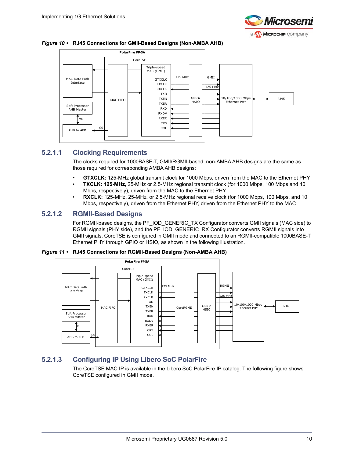

<span id="page-15-0"></span>



#### **5.2.1.1 Clocking Requirements**

The clocks required for 1000BASE-T, GMII/RGMII-based, non-AMBA AHB designs are the same as those required for corresponding AMBA AHB designs:

- **GTXCLK:** 125-MHz global transmit clock for 1000 Mbps, driven from the MAC to the Ethernet PHY
- **TXCLK: 125-MHz,** 25-MHz or 2.5-MHz regional transmit clock (for 1000 Mbps, 100 Mbps and 10 Mbps, respectively), driven from the MAC to the Ethernet PHY
- **RXCLK:** 125-MHz, 25-MHz, or 2.5-MHz regional receive clock (for 1000 Mbps, 100 Mbps, and 10 Mbps, respectively), driven from the Ethernet PHY, driven from the Ethernet PHY to the MAC

#### **5.2.1.2 RGMII-Based Designs**

For RGMII-based designs, the PF\_IOD\_GENERIC\_TX Configurator converts GMII signals (MAC side) to RGMII signals (PHY side), and the PF\_IOD\_GENERIC\_RX Configurator converts RGMII signals into GMII signals. CoreTSE is configured in GMII mode and connected to an RGMII-compatible 1000BASE-T Ethernet PHY through GPIO or HSIO, as shown in the following illustration.

<span id="page-15-1"></span>*Figure 11 •* **RJ45 Connections for RGMII-Based Designs (Non-AMBA AHB)**



### **5.2.1.3 Configuring IP Using Libero SoC PolarFire**

The CoreTSE MAC IP is available in the Libero SoC PolarFire IP catalog. The following figure shows CoreTSE configured in GMII mode.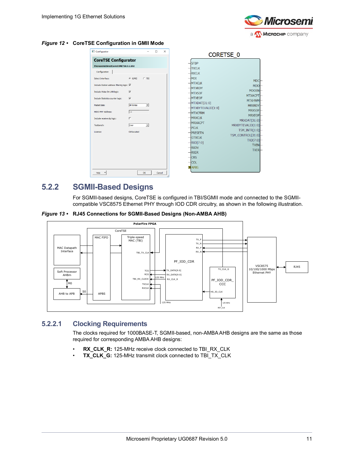

<span id="page-16-1"></span>*Figure 12 •* **CoreTSE Configuration in GMII Mode**



### <span id="page-16-0"></span>**5.2.2 SGMII-Based Designs**

<span id="page-16-3"></span>For SGMII-based designs, CoreTSE is configured in TBI/SGMII mode and connected to the SGMIIcompatible VSC8575 Ethernet PHY through IOD CDR circuitry, as shown in the following illustration.

<span id="page-16-2"></span>*Figure 13 •* **RJ45 Connections for SGMII-Based Designs (Non-AMBA AHB)**



#### **5.2.2.1 Clocking Requirements**

The clocks required for 1000BASE-T, SGMII-based, non-AMBA AHB designs are the same as those required for corresponding AMBA AHB designs:

- **RX\_CLK\_R:** 125-MHz receive clock connected to TBI\_RX\_CLK
- **TX\_CLK\_G:** 125-MHz transmit clock connected to TBI\_TX\_CLK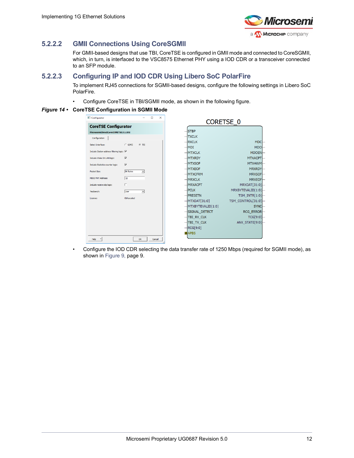

#### **5.2.2.2 GMII Connections Using CoreSGMII**

For GMII-based designs that use TBI, CoreTSE is configured in GMII mode and connected to CoreSGMII, which, in turn, is interfaced to the VSC8575 Ethernet PHY using a IOD CDR or a transceiver connected to an SFP module.

#### <span id="page-17-1"></span>**5.2.2.3 Configuring IP and IOD CDR Using Libero SoC PolarFire**

To implement RJ45 connections for SGMII-based designs, configure the following settings in Libero SoC PolarFire.

• Configure CoreTSE in TBI/SGMII mode, as shown in the following figure.

#### <span id="page-17-0"></span>*Figure 14 •* **CoreTSE Configuration in SGMII Mode**

| Configurator                               |                         |                          | $\Box$ | $\times$ | <b>CORETSE 0</b>     |                        |
|--------------------------------------------|-------------------------|--------------------------|--------|----------|----------------------|------------------------|
| <b>CoreTSE Configurator</b>                |                         |                          |        |          |                      |                        |
| Microsemi:DirectCore:CORETSE:3.1.102       |                         |                          |        |          | <b>STBP</b>          |                        |
| Configuration                              |                         |                          |        |          | <b>TXCLK</b>         |                        |
| Select Interface:                          | $C$ G/MII               | $G$ TBI                  |        |          | $-$ RXCLK            | <b>MDC</b>             |
|                                            |                         |                          |        |          | $ MDI$               | MDO-                   |
| Include Station address filtering logic: √ |                         |                          |        |          | $-MTXCLK$            | MDOEN-                 |
| Include Wake On LAN logic:                 | $\overline{\mathbf{v}}$ |                          |        |          | $-MTXRDY$            | <b>MTXACPT</b>         |
| Include Statistics counter logic:          | $\overline{\mathbf{v}}$ |                          |        |          | $-MTXSOF$            | MTXHWM                 |
|                                            |                         |                          |        |          | $-MTXEOF$            | <b>MRXRDY</b>          |
| Packet Size:                               | <b>8K Bytes</b>         | $\mathbf{v}$             |        |          | $-MTXCFRM$           | MRXSOF-                |
| MDIO PHY Address:                          | 18                      |                          |        |          | $-MRXCLK$            | MRXEOF-                |
| Include receive slip logic:                | П                       |                          |        |          | <b>MRXACPT</b>       | MRXDAT[31:0]-          |
| Testbench:                                 | luser                   | $\overline{\phantom{a}}$ |        |          | $H$ PCLK             | MRXBYTEVALID[1:0]      |
|                                            |                         |                          |        |          | $-$ <b>PRESETN</b>   | TSM INTR[1:0] $\vdash$ |
| License:                                   | Obfuscated              |                          |        |          | $-MTXDAT[31:0]$      | TSM CONTROL[31:0]      |
|                                            |                         |                          |        |          | $-MTXBYTEVALID[1:0]$ | <b>SYNC</b>            |
|                                            |                         |                          |        |          | -SIGNAL DETECT       | <b>RCG ERROR-</b>      |
|                                            |                         |                          |        |          | $-$ TBI RX CLK       | TCG[9:0]               |
|                                            |                         |                          |        |          | <b>TBI TX CLK</b>    | ANX STATE[9:0]         |
|                                            |                         |                          |        |          | $-$ RCG[9:0]         |                        |
|                                            |                         |                          |        |          | <b>APBS</b>          |                        |
|                                            |                         | OK                       |        |          |                      |                        |
| Help                                       |                         |                          | Cancel |          |                      |                        |

• Configure the IOD CDR selecting the data transfer rate of 1250 Mbps (required for SGMII mode), as shown in Figure [9, page](#page-14-2) 9.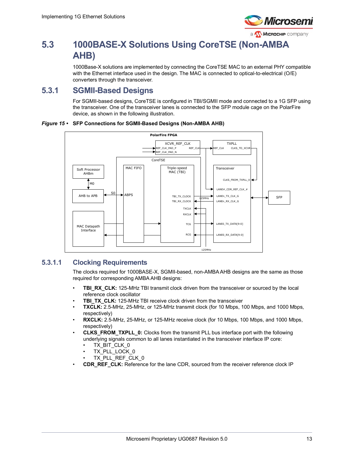

# <span id="page-18-0"></span>**5.3 1000BASE-X Solutions Using CoreTSE (Non-AMBA AHB)**

1000Base-X solutions are implemented by connecting the CoreTSE MAC to an external PHY compatible with the Ethernet interface used in the design. The MAC is connected to optical-to-electrical (O/E) converters through the transceiver.

## <span id="page-18-1"></span>**5.3.1 SGMII-Based Designs**

For SGMII-based designs, CoreTSE is configured in TBI/SGMII mode and connected to a 1G SFP using the transceiver. One of the transceiver lanes is connected to the SFP module cage on the PolarFire device, as shown in the following illustration.

<span id="page-18-2"></span>



#### <span id="page-18-4"></span>**5.3.1.1 Clocking Requirements**

<span id="page-18-3"></span>The clocks required for 1000BASE-X, SGMII-based, non-AMBA AHB designs are the same as those required for corresponding AMBA AHB designs:

- **TBI\_RX\_CLK:** 125-MHz TBI transmit clock driven from the transceiver or sourced by the local reference clock oscillator
- **TBI\_TX\_CLK:** 125-MHz TBI receive clock driven from the transceiver
- **TXCLK:** 2.5-MHz, 25-MHz, or 125-MHz transmit clock (for 10 Mbps, 100 Mbps, and 1000 Mbps, respectively)
- **RXCLK:** 2.5-MHz, 25-MHz, or 125-MHz receive clock (for 10 Mbps, 100 Mbps, and 1000 Mbps, respectively)
- **CLKS\_FROM\_TXPLL\_0:** Clocks from the transmit PLL bus interface port with the following underlying signals common to all lanes instantiated in the transceiver interface IP core:
	- TX\_BIT\_CLK\_0
	- TX\_PLL\_LOCK\_0
	- TX\_PLL\_REF\_CLK\_0
- **CDR\_REF\_CLK:** Reference for the lane CDR, sourced from the receiver reference clock IP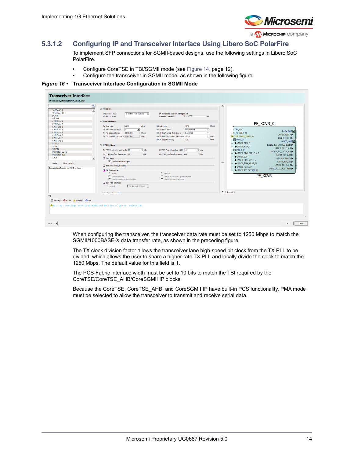

### **5.3.1.2 Configuring IP and Transceiver Interface Using Libero SoC PolarFire**

To implement SFP connections for SGMII-based designs, use the following settings in Libero SoC PolarFire.

- Configure CoreTSE in TBI/SGMII mode (see Figure [14, page](#page-17-0) 12).
- <span id="page-19-1"></span>• Configure the transceiver in SGMII mode, as shown in the following figure.

#### <span id="page-19-0"></span>*Figure 16 •* **Transceiver Interface Configuration in SGMII Mode**

| Microsemi:SystemBuilder:PF XCVR ERM            |                                     |                                                                            |                                                                       |                                           |
|------------------------------------------------|-------------------------------------|----------------------------------------------------------------------------|-----------------------------------------------------------------------|-------------------------------------------|
|                                                | $\mathbin{\textcircled{\char'136}}$ |                                                                            |                                                                       |                                           |
| 10GBASE-R                                      | $\blacktriangle$                    | E General                                                                  |                                                                       |                                           |
| 10GBASE-KR                                     |                                     | Tx and Rx (Full Duplex)<br>$\overline{ }$<br>Transceiver mode              | $\boxed{\checkmark}$ Enhanced receiver management                     |                                           |
| SGMII                                          |                                     | Number of lanes<br>п                                                       | None (CDR)<br>킈<br><b>Receiver calibration</b>                        |                                           |
| <b>OSGMII</b>                                  |                                     |                                                                            |                                                                       |                                           |
| <b>CPRI Rate 1</b>                             |                                     | <b>El PMA Settings</b>                                                     |                                                                       |                                           |
| <b>CPRI Rate 2</b>                             |                                     |                                                                            |                                                                       | PF_XCVR_0                                 |
| <b>CPRI Rate 3</b>                             |                                     | 1250<br>Mbps<br>TX data rate                                               | 1250<br>RX data rate<br><b>Mbps</b>                                   |                                           |
| <b>CPRI Rate 4</b>                             |                                     | TX clock division factor<br>$\sqrt{4}$<br>$\overline{\phantom{a}}$         | Lock to data<br>⊒<br>RX CDR lock mode                                 | <b>CTRL CLK</b><br>PADs_OUT               |
| <b>CPRI Rate 5</b>                             |                                     | 5000,000<br>TX PLL base data rate<br>Mbps                                  | $\overline{ }$<br>Dedicated<br>RX CDR reference clock source          | CTRL_ARST_N                               |
| <b>CPRI Rate 6</b>                             |                                     | TX PLL bit clock frequency 2500.000<br>MHz                                 | $\overline{\mathbf{v}}$ MHz<br>RX CDR reference clock frequency 125.0 | LANED TXD N<br>CLKS_FROM_TXPLL_0          |
| <b>CPRI Rate 7</b>                             |                                     |                                                                            | RX JA clock frequency<br>MHz<br>125                                   | LANEO TXD PL-                             |
| <b>CPRI Rate 8</b>                             |                                     |                                                                            |                                                                       | PAD <sub>s_IN</sub><br>LANEO_OUT          |
| SDI 3G                                         |                                     | <b>E</b> PCS Settings                                                      |                                                                       | LANED_RXD_N<br>LANEO_RX_BYPASS_DATA       |
| <b>SDI HD</b>                                  |                                     |                                                                            |                                                                       | LANED_RXD_P                               |
| SDI SD                                         |                                     | TX PCS-Fabric interface width 10<br>$\overline{\phantom{a}}$ bits          | RX PCS-Fabric interface width 10<br>- bits                            | LANEO_RX_CLK_R<br><b>ELANEO_IN</b>        |
| Interlaken 6,25G                               |                                     |                                                                            |                                                                       | LANEO_RX_DATA[9:0]<br>LANEO CDR REF CLK 0 |
| Interlaken 10G                                 |                                     | TX FPGA interface frequency 125<br>MHz                                     | RX FPGA interface frequency 125<br>MHz                                | LANEO_RX_IDLE                             |
| XAUI                                           | $\overline{\phantom{a}}$            | <b>EX PMA Mode</b>                                                         |                                                                       | <b>LANEO LOS</b><br>LANEO_RX_READY>       |
|                                                |                                     | F Enable CDR Bit-slip port                                                 |                                                                       | LANEO PCS ARST N<br>LANEO_RX_VALL         |
| New preset<br>Apply                            |                                     |                                                                            |                                                                       | LANEO_PMA_ARST_N                          |
|                                                |                                     | 8b10b Encoding/Decoding                                                    |                                                                       | LANEO TX CLK R<br>LANEO_RX_SLIP           |
| <b>Description:</b> Presets for SGMII protocol |                                     | 64b6xb Gear Box                                                            |                                                                       | LANEO TX CLK STABLE<br>LANEO_TX_DATA[9:0] |
|                                                |                                     | 66666                                                                      | $C$ 64h67h                                                            |                                           |
|                                                |                                     |                                                                            |                                                                       | PF XCVR                                   |
|                                                |                                     | F Enable Disparity                                                         | Enable BER monitor state machine                                      |                                           |
|                                                |                                     | Enable Scrambler/Descrambler                                               | Enable 32 bits data width                                             |                                           |
|                                                |                                     | Soft PIPE Interface                                                        |                                                                       |                                           |
|                                                |                                     | PCIe Gen1 (2.5 Gbps) ~<br>Protocol                                         |                                                                       |                                           |
|                                                |                                     |                                                                            |                                                                       |                                           |
|                                                |                                     |                                                                            |                                                                       | $\blacktriangleright$ Symbol /            |
|                                                |                                     | m. Clocks and Bossets                                                      |                                                                       |                                           |
|                                                |                                     |                                                                            |                                                                       |                                           |
| Messages @ Errors A Warnings @ Info            |                                     |                                                                            |                                                                       |                                           |
|                                                |                                     |                                                                            |                                                                       |                                           |
|                                                |                                     | <b>A</b> Warning: Settings have been modified because of preset selection. |                                                                       |                                           |
|                                                |                                     |                                                                            |                                                                       |                                           |
|                                                |                                     |                                                                            |                                                                       |                                           |
|                                                |                                     |                                                                            |                                                                       |                                           |
|                                                |                                     |                                                                            |                                                                       |                                           |

When configuring the transceiver, the transceiver data rate must be set to 1250 Mbps to match the SGMII/1000BASE-X data transfer rate, as shown in the preceding figure.

The TX clock division factor allows the transceiver lane high-speed bit clock from the TX PLL to be divided, which allows the user to share a higher rate TX PLL and locally divide the clock to match the 1250 Mbps. The default value for this field is 1.

The PCS-Fabric interface width must be set to 10 bits to match the TBI required by the CoreTSE/CoreTSE\_AHB/CoreSGMII IP blocks.

Because the CoreTSE, CoreTSE\_AHB, and CoreSGMII IP have built-in PCS functionality, PMA mode must be selected to allow the transceiver to transmit and receive serial data.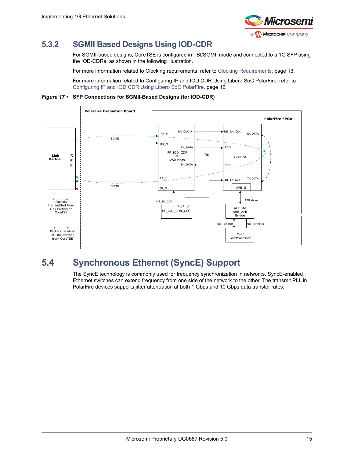

## <span id="page-20-0"></span>**5.3.2 SGMII Based Designs Using IOD-CDR**

<span id="page-20-4"></span>For SGMII-based designs, CoreTSE is configured in TBI/SGMII mode and connected to a 1G SFP using the IOD-CDRs, as shown in the following illustration.

For more information related to Clocking requirements, refer to [Clocking Requirements, page](#page-18-4) 13.

For more information related to Configuring IP and IOD CDR Using Libero SoC PolarFire, refer to [Configuring IP and IOD CDR Using Libero SoC PolarFire, page](#page-17-1) 12.

<span id="page-20-2"></span>*Figure 17 •* **SFP Connections for SGMII-Based Designs (for IOD-CDR)**



# <span id="page-20-1"></span>**5.4 Synchronous Ethernet (SyncE) Support**

<span id="page-20-3"></span>The SyncE technology is commonly used for frequency synchronization in networks. SyncE-enabled Ethernet switches can extend frequency from one side of the network to the other. The transmit PLL in PolarFire devices supports jitter attenuation at both 1 Gbps and 10 Gbps data transfer rates.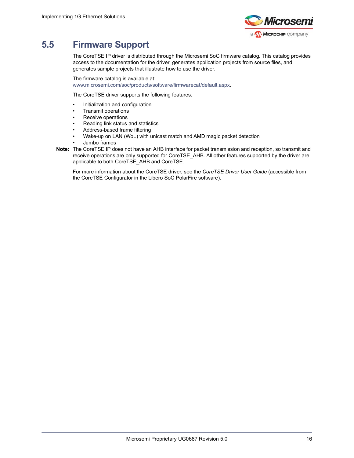

## <span id="page-21-0"></span>**5.5 Firmware Support**

The CoreTSE IP driver is distributed through the Microsemi SoC firmware catalog. This catalog provides access to the documentation for the driver, generates application projects from source files, and generates sample projects that illustrate how to use the driver.

[The firmware catalog is available at:](www.microsemi.com/soc/products/software/firmwarecat/default.aspx) 

[w](www.microsemi.com/soc/products/software/firmwarecat/default.aspx)ww.microsemi.com/soc/products/software/firmwarecat/default.aspx.

The CoreTSE driver supports the following features.

- Initialization and configuration
- Transmit operations
- Receive operations
- Reading link status and statistics
- Address-based frame filtering
- Wake-up on LAN (WoL) with unicast match and AMD magic packet detection
- Jumbo frames
- **Note:** The CoreTSE IP does not have an AHB interface for packet transmission and reception, so transmit and receive operations are only supported for CoreTSE\_AHB. All other features supported by the driver are applicable to both CoreTSE\_AHB and CoreTSE.

For more information about the CoreTSE driver, see the *CoreTSE Driver User Guide* (accessible from the CoreTSE Configurator in the Libero SoC PolarFire software).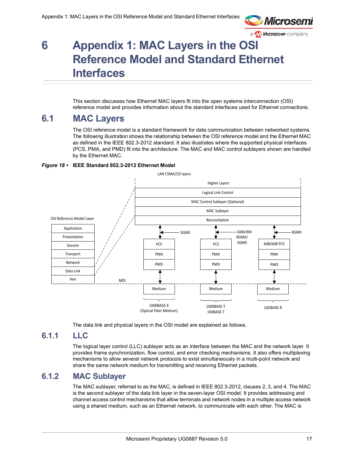

# <span id="page-22-5"></span><span id="page-22-0"></span>**6 Appendix 1: MAC Layers in the OSI Reference Model and Standard Ethernet Interfaces**

This section discusses how Ethernet MAC layers fit into the open systems interconnection (OSI) reference model and provides information about the standard interfaces used for Ethernet connections.

## <span id="page-22-1"></span>**6.1 MAC Layers**

The OSI reference model is a standard framework for data communication between networked systems. The following illustration shows the relationship between the OSI reference model and the Ethernet MAC as defined in the IEEE 802.3-2012 standard. It also illustrates where the supported physical interfaces (PCS, PMA, and PMD) fit into the architecture. The MAC and MAC control sublayers shown are handled by the Ethernet MAC.

#### <span id="page-22-4"></span>*Figure 18 •* **IEEE Standard 802.3-2012 Ethernet Model**



The data link and physical layers in the OSI model are explained as follows.

### <span id="page-22-2"></span>**6.1.1 LLC**

The logical layer control (LLC) sublayer acts as an interface between the MAC and the network layer. It provides frame synchronization, flow control, and error checking mechanisms. It also offers multiplexing mechanisms to allow several network protocols to exist simultaneously in a multi-point network and share the same network medium for transmitting and receiving Ethernet packets.

### <span id="page-22-3"></span>**6.1.2 MAC Sublayer**

The MAC sublayer, referred to as the MAC, is defined in IEEE 802.3-2012, clauses 2, 3, and 4. The MAC is the second sublayer of the data link layer in the seven-layer OSI model. It provides addressing and channel access control mechanisms that allow terminals and network nodes in a multiple access network using a shared medium, such as an Ethernet network, to communicate with each other. The MAC is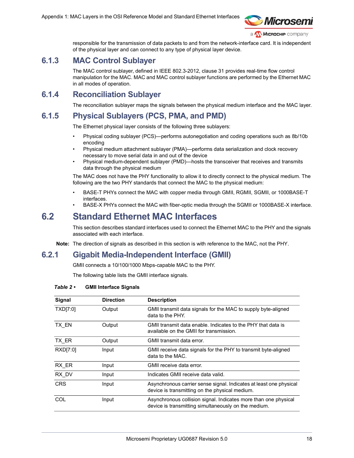

responsible for the transmission of data packets to and from the network-interface card. It is independent of the physical layer and can connect to any type of physical layer device.

## <span id="page-23-0"></span>**6.1.3 MAC Control Sublayer**

The MAC control sublayer, defined in IEEE 802.3-2012, clause 31 provides real-time flow control manipulation for the MAC. MAC and MAC control sublayer functions are performed by the Ethernet MAC in all modes of operation.

### <span id="page-23-1"></span>**6.1.4 Reconciliation Sublayer**

The reconciliation sublayer maps the signals between the physical medium interface and the MAC layer.

## <span id="page-23-2"></span>**6.1.5 Physical Sublayers (PCS, PMA, and PMD)**

The Ethernet physical layer consists of the following three sublayers:

- Physical coding sublayer (PCS)—performs autonegotiation and coding operations such as 8b/10b encoding
- Physical medium attachment sublayer (PMA)—performs data serialization and clock recovery necessary to move serial data in and out of the device
- Physical medium-dependent sublayer (PMD)—hosts the transceiver that receives and transmits data through the physical medium

The MAC does not have the PHY functionality to allow it to directly connect to the physical medium. The following are the two PHY standards that connect the MAC to the physical medium:

- BASE-T PHYs connect the MAC with copper media through GMII, RGMII, SGMII, or 1000BASE-T interfaces.
- BASE-X PHYs connect the MAC with fiber-optic media through the SGMII or 1000BASE-X interface.

## <span id="page-23-3"></span>**6.2 Standard Ethernet MAC Interfaces**

This section describes standard interfaces used to connect the Ethernet MAC to the PHY and the signals associated with each interface.

**Note:** The direction of signals as described in this section is with reference to the MAC, not the PHY.

### <span id="page-23-4"></span>**6.2.1 Gigabit Media-Independent Interface (GMII)**

GMII connects a 10/100/1000 Mbps-capable MAC to the PHY.

The following table lists the GMII interface signals.

#### <span id="page-23-5"></span>*Table 2 •* **GMII Interface Signals**

| <b>Signal</b> | <b>Direction</b> | <b>Description</b>                                                                                                      |
|---------------|------------------|-------------------------------------------------------------------------------------------------------------------------|
| TXD[7:0]      | Output           | GMII transmit data signals for the MAC to supply byte-aligned<br>data to the PHY.                                       |
| TX EN         | Output           | GMII transmit data enable. Indicates to the PHY that data is<br>available on the GMII for transmission.                 |
| TX_ER         | Output           | GMII transmit data error.                                                                                               |
| RXD[7:0]      | Input            | GMII receive data signals for the PHY to transmit byte-aligned<br>data to the MAC.                                      |
| RX_ER         | Input            | GMII receive data error.                                                                                                |
| RX DV         | Input            | Indicates GMII receive data valid.                                                                                      |
| <b>CRS</b>    | Input            | Asynchronous carrier sense signal. Indicates at least one physical<br>device is transmitting on the physical medium.    |
| COL           | Input            | Asynchronous collision signal. Indicates more than one physical<br>device is transmitting simultaneously on the medium. |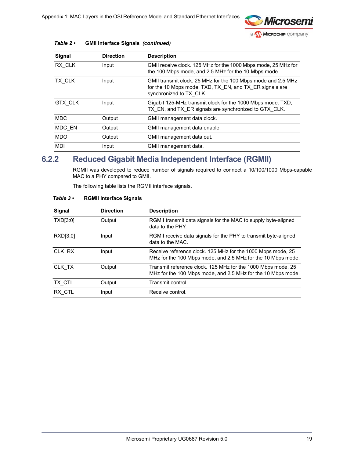

| Signal     | <b>Direction</b> | <b>Description</b>                                                                                                                                  |  |
|------------|------------------|-----------------------------------------------------------------------------------------------------------------------------------------------------|--|
| RX CLK     | Input            | GMII receive clock. 125 MHz for the 1000 Mbps mode, 25 MHz for<br>the 100 Mbps mode, and 2.5 MHz for the 10 Mbps mode.                              |  |
| TX CLK     | Input            | GMII transmit clock. 25 MHz for the 100 Mbps mode and 2.5 MHz<br>for the 10 Mbps mode. TXD, TX EN, and TX ER signals are<br>synchronized to TX CLK. |  |
| GTX CLK    | Input            | Gigabit 125-MHz transmit clock for the 1000 Mbps mode. TXD,<br>TX EN, and TX ER signals are synchronized to GTX CLK.                                |  |
| <b>MDC</b> | Output           | GMII management data clock.                                                                                                                         |  |
| MDC EN     | Output           | GMII management data enable.                                                                                                                        |  |
| <b>MDO</b> | Output           | GMII management data out.                                                                                                                           |  |
| <b>MDI</b> | Input            | GMII management data.                                                                                                                               |  |

#### *Table 2 •* **GMII Interface Signals** *(continued)*

## <span id="page-24-0"></span>**6.2.2 Reduced Gigabit Media Independent Interface (RGMII)**

RGMII was developed to reduce number of signals required to connect a 10/100/1000 Mbps-capable MAC to a PHY compared to GMII.

The following table lists the RGMII interface signals.

| Signal   | <b>Direction</b> | <b>Description</b>                                                                                                           |
|----------|------------------|------------------------------------------------------------------------------------------------------------------------------|
| TXD[3:0] | Output           | RGMII transmit data signals for the MAC to supply byte-aligned<br>data to the PHY.                                           |
| RXD[3:0] | Input            | RGMII receive data signals for the PHY to transmit byte-aligned<br>data to the MAC.                                          |
| CLK RX   | Input            | Receive reference clock. 125 MHz for the 1000 Mbps mode, 25<br>MHz for the 100 Mbps mode, and 2.5 MHz for the 10 Mbps mode.  |
| CLK TX   | Output           | Transmit reference clock. 125 MHz for the 1000 Mbps mode, 25<br>MHz for the 100 Mbps mode, and 2.5 MHz for the 10 Mbps mode. |
| TX CTL   | Output           | Transmit control.                                                                                                            |
| RX CTL   | Input            | Receive control.                                                                                                             |

#### <span id="page-24-1"></span>*Table 3 •* **RGMII Interface Signals**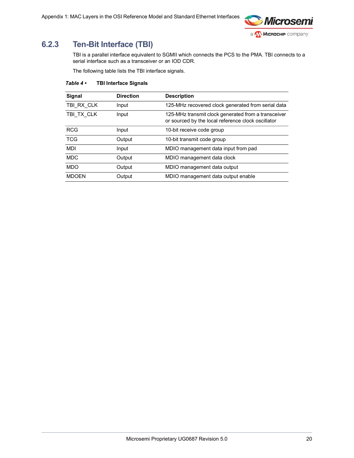

## <span id="page-25-0"></span>**6.2.3 Ten-Bit Interface (TBI)**

TBI is a parallel interface equivalent to SGMII which connects the PCS to the PMA. TBI connects to a serial interface such as a transceiver or an IOD CDR.

The following table lists the TBI interface signals.

<span id="page-25-1"></span>

| Signal       | <b>Direction</b> | <b>Description</b>                                                                                        |
|--------------|------------------|-----------------------------------------------------------------------------------------------------------|
| TBI RX CLK   | Input            | 125-MHz recovered clock generated from serial data                                                        |
| TBI TX CLK   | Input            | 125-MHz transmit clock generated from a transceiver<br>or sourced by the local reference clock oscillator |
| <b>RCG</b>   | Input            | 10-bit receive code group                                                                                 |
| <b>TCG</b>   | Output           | 10-bit transmit code group                                                                                |
| <b>MDI</b>   | Input            | MDIO management data input from pad                                                                       |
| <b>MDC</b>   | Output           | MDIO management data clock                                                                                |
| <b>MDO</b>   | Output           | MDIO management data output                                                                               |
| <b>MDOEN</b> | Output           | MDIO management data output enable                                                                        |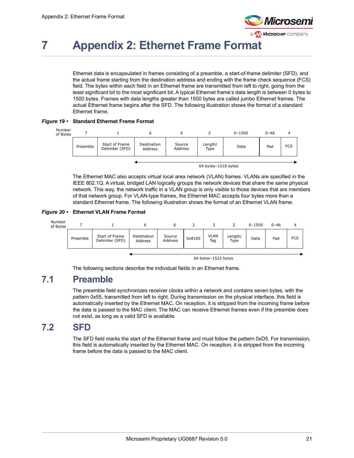

# <span id="page-26-0"></span>**7 Appendix 2: Ethernet Frame Format**

Ethernet data is encapsulated in frames consisting of a preamble, a start-of-frame delimiter (SFD), and the actual frame starting from the destination address and ending with the frame check sequence (FCS) field. The bytes within each field in an Ethernet frame are transmitted from left to right, going from the least significant bit to the most significant bit. A typical Ethernet frame's data length is between 0 bytes to 1500 bytes. Frames with data lengths greater than 1500 bytes are called jumbo Ethernet frames. The actual Ethernet frame begins after the SFD. The following illustration shows the format of a standard Ethernet frame.

<span id="page-26-3"></span>*Figure 19 •* **Standard Ethernet Frame Format**



The Ethernet MAC also accepts virtual local area network (VLAN) frames. VLANs are specified in the IEEE 802.1Q. A virtual, bridged LAN logically groups the network devices that share the same physical network. This way, the network traffic in a VLAN group is only visible to those devices that are members of that network group. For VLAN-type frames, the Ethernet MAC accepts four bytes more than a standard Ethernet frame. The following illustration shows the format of an Ethernet VLAN frame.

#### <span id="page-26-4"></span>*Figure 20 •* **Ethernet VLAN Frame Format**



The following sections describe the individual fields in an Ethernet frame.

## <span id="page-26-1"></span>**7.1 Preamble**

The preamble field synchronizes receiver clocks within a network and contains seven bytes, with the pattern 0x55, transmitted from left to right. During transmission on the physical interface, this field is automatically inserted by the Ethernet MAC. On reception, it is stripped from the incoming frame before the data is passed to the MAC client. The MAC can receive Ethernet frames even if the preamble does not exist, as long as a valid SFD is available.

## <span id="page-26-2"></span>**7.2 SFD**

The SFD field marks the start of the Ethernet frame and must follow the pattern 0xD5. For transmission, this field is automatically inserted by the Ethernet MAC. On reception, it is stripped from the incoming frame before the data is passed to the MAC client.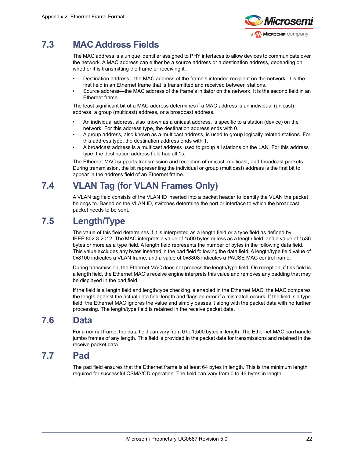

# <span id="page-27-0"></span>**7.3 MAC Address Fields**

The MAC address is a unique identifier assigned to PHY interfaces to allow devices to communicate over the network. A MAC address can either be a source address or a destination address, depending on whether it is transmitting the frame or receiving it:

- Destination address—the MAC address of the frame's intended recipient on the network. It is the first field in an Ethernet frame that is transmitted and received between stations.
- Source address—the MAC address of the frame's initiator on the network. It is the second field in an Ethernet frame.

The least significant bit of a MAC address determines if a MAC address is an individual (unicast) address, a group (multicast) address, or a broadcast address.

- An individual address, also known as a unicast address, is specific to a station (device) on the network. For this address type, the destination address ends with 0.
- A group address, also known as a multicast address, is used to group logically-related stations. For this address type, the destination address ends with 1.
- A broadcast address is a multicast address used to group all stations on the LAN. For this address type, the destination address field has all 1s.

The Ethernet MAC supports transmission and reception of unicast, multicast, and broadcast packets. During transmission, the bit representing the individual or group (multicast) address is the first bit to appear in the address field of an Ethernet frame.

## <span id="page-27-1"></span>**7.4 VLAN Tag (for VLAN Frames Only)**

A VLAN tag field consists of the VLAN ID inserted into a packet header to identify the VLAN the packet belongs to. Based on the VLAN ID, switches determine the port or interface to which the broadcast packet needs to be sent.

## <span id="page-27-2"></span>**7.5 Length/Type**

The value of this field determines if it is interpreted as a length field or a type field as defined by IEEE 802.3-2012. The MAC interprets a value of 1500 bytes or less as a length field, and a value of 1536 bytes or more as a type field. A length field represents the number of bytes in the following data field. This value excludes any bytes inserted in the pad field following the data field. A length/type field value of 0x8100 indicates a VLAN frame, and a value of 0x8808 indicates a PAUSE MAC control frame.

During transmission, the Ethernet MAC does not process the length/type field. On reception, if this field is a length field, the Ethernet MAC's receive engine interprets this value and removes any padding that may be displayed in the pad field.

If the field is a length field and length/type checking is enabled in the Ethernet MAC, the MAC compares the length against the actual data field length and flags an error if a mismatch occurs. If the field is a type field, the Ethernet MAC ignores the value and simply passes it along with the packet data with no further processing. The length/type field is retained in the receive packet data.

## <span id="page-27-3"></span>**7.6 Data**

For a normal frame, the data field can vary from 0 to 1,500 bytes in length. The Ethernet MAC can handle jumbo frames of any length. This field is provided in the packet data for transmissions and retained in the receive packet data.

## <span id="page-27-4"></span>**7.7 Pad**

The pad field ensures that the Ethernet frame is at least 64 bytes in length. This is the minimum length required for successful CSMA/CD operation. The field can vary from 0 to 46 bytes in length.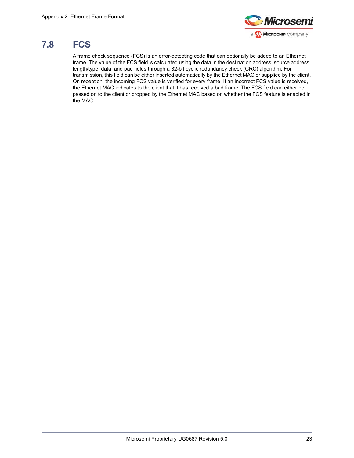

# <span id="page-28-0"></span>**7.8 FCS**

A frame check sequence (FCS) is an error-detecting code that can optionally be added to an Ethernet frame. The value of the FCS field is calculated using the data in the destination address, source address, length/type, data, and pad fields through a 32-bit cyclic redundancy check (CRC) algorithm. For transmission, this field can be either inserted automatically by the Ethernet MAC or supplied by the client. On reception, the incoming FCS value is verified for every frame. If an incorrect FCS value is received, the Ethernet MAC indicates to the client that it has received a bad frame. The FCS field can either be passed on to the client or dropped by the Ethernet MAC based on whether the FCS feature is enabled in the MAC.